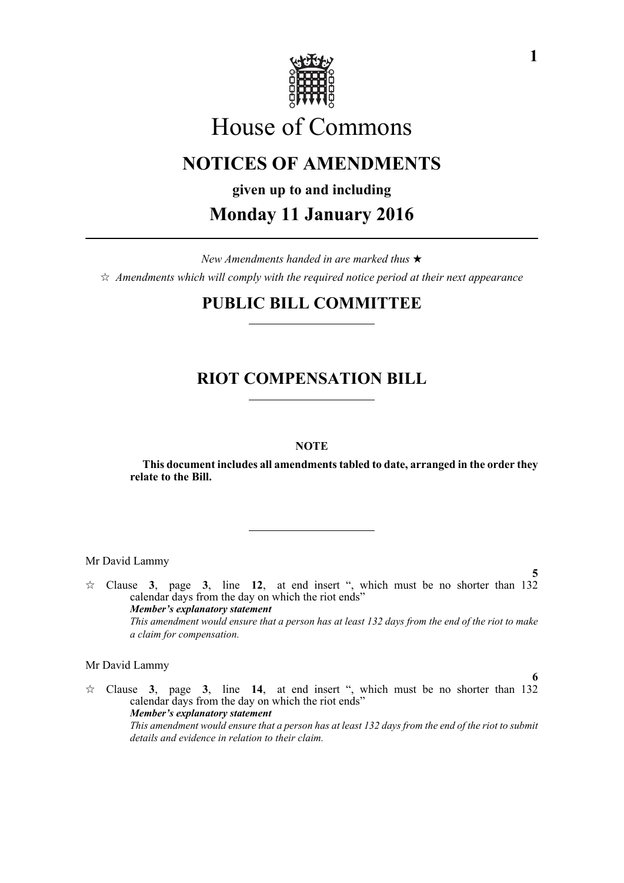

# House of Commons

# **NOTICES OF AMENDMENTS**

**given up to and including**

## **Monday 11 January 2016**

*New Amendments handed in are marked thus Amendments which will comply with the required notice period at their next appearance*

### **PUBLIC BILL COMMITTEE**

### **RIOT COMPENSATION BILL**

### **NOTE**

**This document includes all amendments tabled to date, arranged in the order they relate to the Bill.**

Mr David Lammy

**5**  $\approx$  Clause **3**, page **3**, line **12**, at end insert ", which must be no shorter than 132 calendar days from the day on which the riot ends" *Member's explanatory statement This amendment would ensure that a person has at least 132 days from the end of the riot to make a claim for compensation.*

#### Mr David Lammy

 $\approx$  Clause **3**, page **3**, line **14**, at end insert ", which must be no shorter than 132 calendar days from the day on which the riot ends" *Member's explanatory statement This amendment would ensure that a person has at least 132 days from the end of the riot to submit details and evidence in relation to their claim.* 

**6**